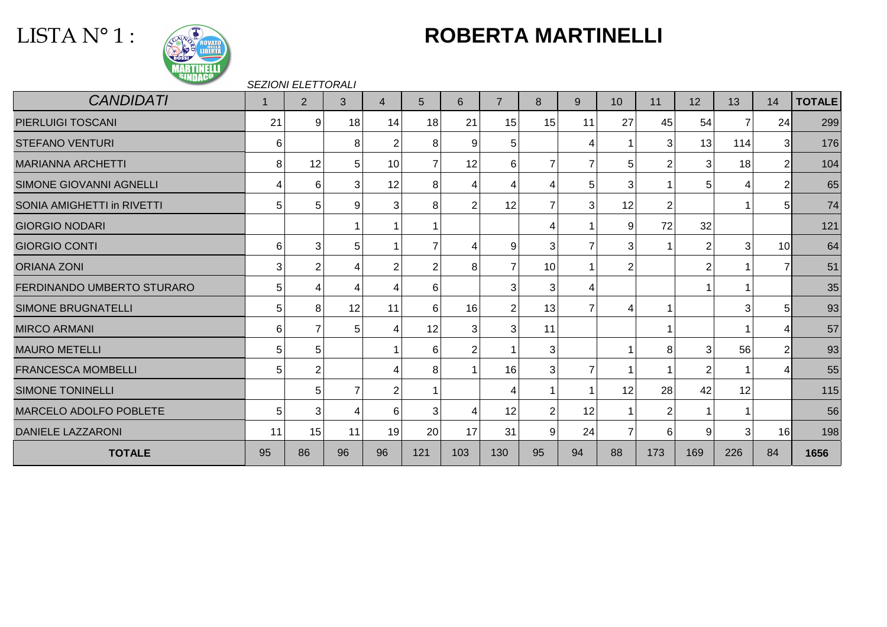# LISTA N° 1 :



# **ROBERTA MARTINELLI**

#### SEZIONI ELETTORALI

| <b>CANDIDATI</b>               | -1 | $\overline{2}$ | 3  | 4               | 5              | 6              | $\overline{7}$ | 8              | 9               | 10             | 11             | 12             | 13                | 14              | <b>TOTALE</b> |
|--------------------------------|----|----------------|----|-----------------|----------------|----------------|----------------|----------------|-----------------|----------------|----------------|----------------|-------------------|-----------------|---------------|
| <b>PIERLUIGI TOSCANI</b>       | 21 | 9              | 18 | 14              | 18             | 21             | 15             | 15             | 11              | 27             | 45             | 54             | $\overline{7}$    | 24              | 299           |
| <b>STEFANO VENTURI</b>         | 6  |                | 8  | $\overline{2}$  | 8              | 9              | 5              |                | 4               |                | 3 <sub>l</sub> | 13             | 114               | 31              | 176           |
| <b>MARIANNA ARCHETTI</b>       | 8  | 12             | 5  | 10 <sup>1</sup> | $\overline{7}$ | 12             | 6              |                | $\overline{7}$  | 5              | 2              | 3              | 18                | $\overline{2}$  | 104           |
| <b>SIMONE GIOVANNI AGNELLI</b> | 4  | 6              | 3  | 12              | 8              | 4              | 4              | 4              | 5 <sup>1</sup>  | 3              |                | 5              | 4                 | 2               | 65            |
| SONIA AMIGHETTI in RIVETTI     | 5  | 5              | 9  | 3               | 8              | 2              | 12             | $\overline{7}$ | $\vert 3 \vert$ | 12             | 2              |                |                   | 51              | 74            |
| <b>GIORGIO NODARI</b>          |    |                |    | $\mathbf{1}$    |                |                |                | 4              |                 | 9              | 72             | 32             |                   |                 | 121           |
| <b>GIORGIO CONTI</b>           | 6  | 3              | 5  | $\mathbf 1$     | $\overline{7}$ | 4              | 9              | 3              | $\overline{7}$  | 3              |                | $\overline{2}$ | 3                 | 10              | 64            |
| <b>ORIANA ZONI</b>             | 3  | $\overline{2}$ | 4  | $\overline{2}$  | $\overline{2}$ | 8              | $\overline{7}$ | 10             |                 | 2              |                | 2              |                   | 7               | 51            |
| FERDINANDO UMBERTO STURARO     | 5  | 4              | 4  | 4               | 6              |                | 3              | 3              | 4               |                |                |                |                   |                 | 35            |
| <b>SIMONE BRUGNATELLI</b>      | 5  | 8              | 12 | 11              | 6              | 16             | $\overline{2}$ | 13             | $\overline{7}$  | Δ              |                |                | 3                 | $5 \mid$        | 93            |
| <b>MIRCO ARMANI</b>            | 6  |                | 5  | 4               | 12             | 3              | 3              | 11             |                 |                |                |                |                   | Δ               | 57            |
| <b>MAURO METELLI</b>           | 5  | 5              |    | -1              | 6              | $\overline{2}$ |                | 3              |                 |                | 8              | 3              | 56                | 2               | 93            |
| <b>FRANCESCA MOMBELLI</b>      | 5  |                |    | 4               | 8              |                | 16             | 3              | $\overline{7}$  |                |                | 2              |                   |                 | 55            |
| <b>SIMONE TONINELLI</b>        |    | 5              | 7  | 2               |                |                | 4              |                |                 | 12             | 28             | 42             | 12                |                 | 115           |
| MARCELO ADOLFO POBLETE         | 5  | 3              | 4  | $6 \mid$        | 3              | 4              | 12             | $\overline{2}$ | 12              |                | 2              |                |                   |                 | 56            |
| <b>DANIELE LAZZARONI</b>       | 11 | 15             | 11 | 19              | 20             | 17             | 31             | 9              | 24              | $\overline{7}$ | 6              | 9              | $\vert$ 3 $\vert$ | 16 <sup>l</sup> | 198           |
| <b>TOTALE</b>                  | 95 | 86             | 96 | 96              | 121            | 103            | 130            | 95             | 94              | 88             | 173            | 169            | 226               | 84              | 1656          |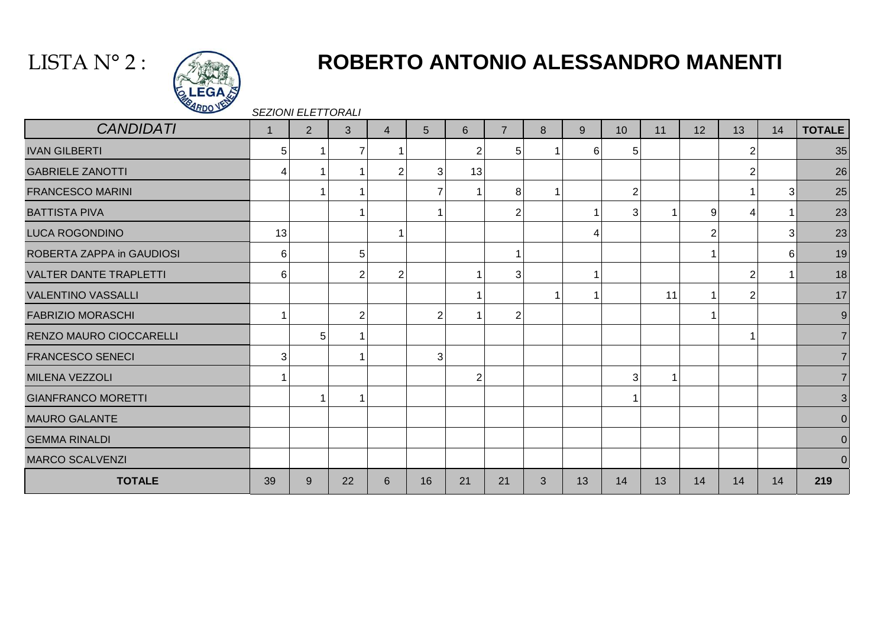## LISTA N° 2 :



# **ROBERTO ANTONIO ALESSANDRO MANENTI**

SEZIONI ELETTORALI

| <b>CANDIDATI</b>              | $\overline{1}$ | $\overline{2}$ | 3              | $\overline{4}$ | $5\phantom{.0}$ | 6              | $\overline{7}$ | 8 | 9  | 10 <sup>°</sup> | 11 | 12             | 13             | 14 | <b>TOTALE</b> |
|-------------------------------|----------------|----------------|----------------|----------------|-----------------|----------------|----------------|---|----|-----------------|----|----------------|----------------|----|---------------|
| <b>IVAN GILBERTI</b>          | 5              |                | $\overline{7}$ |                |                 | 2              | 5              |   | 6  | 5               |    |                |                |    | 35            |
| <b>GABRIELE ZANOTTI</b>       | 4              |                |                | $\overline{2}$ | 3 <sup>1</sup>  | 13             |                |   |    |                 |    |                | 2              |    | 26            |
| <b>FRANCESCO MARINI</b>       |                |                |                |                |                 |                | 8              |   |    | $\overline{2}$  |    |                |                | 3  | 25            |
| <b>BATTISTA PIVA</b>          |                |                |                |                |                 |                | 2              |   |    | 3               |    | 9 <sup>1</sup> | 4              |    | 23            |
| LUCA ROGONDINO                | 13             |                |                |                |                 |                |                |   | 4  |                 |    | $\overline{2}$ |                | 31 | 23            |
| ROBERTA ZAPPA in GAUDIOSI     | 6              |                | 5              |                |                 |                |                |   |    |                 |    |                |                | 61 | 19            |
| <b>VALTER DANTE TRAPLETTI</b> | 6              |                | $\overline{2}$ | $\overline{2}$ |                 |                | 3              |   |    |                 |    |                | 2              |    | 18            |
| <b>VALENTINO VASSALLI</b>     |                |                |                |                |                 |                |                | ۸ |    |                 | 11 |                | $\overline{2}$ |    | 17            |
| <b>FABRIZIO MORASCHI</b>      | 1              |                | $\overline{2}$ |                | $\overline{2}$  |                | 2              |   |    |                 |    |                |                |    | 9             |
| RENZO MAURO CIOCCARELLI       |                | 5              |                |                |                 |                |                |   |    |                 |    |                |                |    |               |
| <b>FRANCESCO SENECI</b>       | 3              |                |                |                | 3               |                |                |   |    |                 |    |                |                |    |               |
| MILENA VEZZOLI                |                |                |                |                |                 | $\overline{2}$ |                |   |    | 3               |    |                |                |    |               |
| <b>GIANFRANCO MORETTI</b>     |                |                |                |                |                 |                |                |   |    |                 |    |                |                |    | 3             |
| <b>MAURO GALANTE</b>          |                |                |                |                |                 |                |                |   |    |                 |    |                |                |    | $\Omega$      |
| <b>GEMMA RINALDI</b>          |                |                |                |                |                 |                |                |   |    |                 |    |                |                |    | $\Omega$      |
| <b>MARCO SCALVENZI</b>        |                |                |                |                |                 |                |                |   |    |                 |    |                |                |    | $\Omega$      |
| <b>TOTALE</b>                 | 39             | 9              | 22             | 6              | 16              | 21             | 21             | 3 | 13 | 14              | 13 | 14             | 14             | 14 | 219           |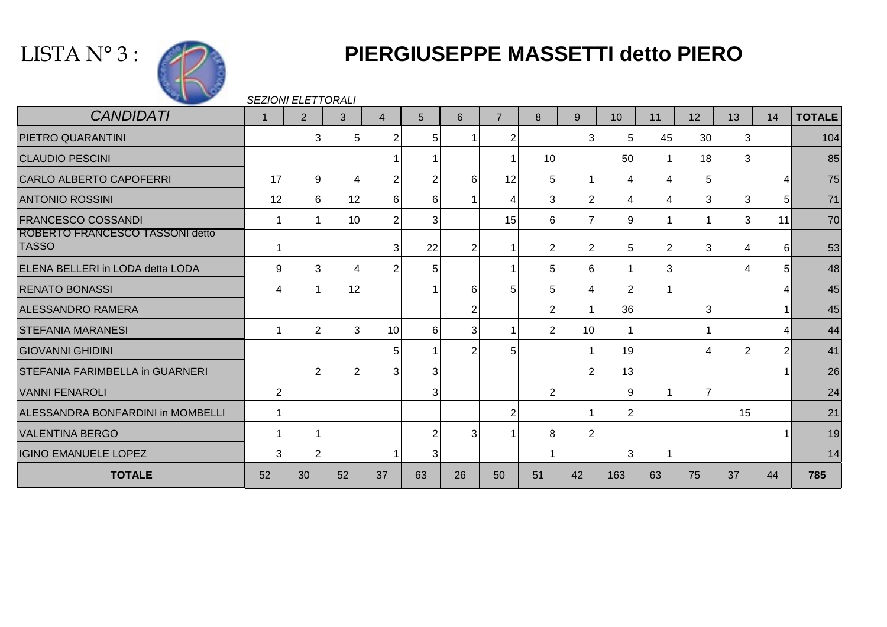



# **PIERGIUSEPPE MASSETTI detto PIERO**

SEZIONI ELETTORALI

| <b>CANDIDATI</b>                                | $\mathbf{1}$   | 2  | 3               | 4                | 5  | 6              | $\overline{7}$ | 8              | 9              | 10  | 11 | 12 | 13             | 14             | <b>TOTALE</b> |
|-------------------------------------------------|----------------|----|-----------------|------------------|----|----------------|----------------|----------------|----------------|-----|----|----|----------------|----------------|---------------|
| PIETRO QUARANTINI                               |                | 3  | 5               | $\overline{2}$   | 5  |                | $\overline{2}$ |                | $\mathbf{3}$   | 5   | 45 | 30 | 3              |                | 104           |
| <b>CLAUDIO PESCINI</b>                          |                |    |                 |                  |    |                |                | 10             |                | 50  | 1  | 18 | 3              |                | 85            |
| <b>CARLO ALBERTO CAPOFERRI</b>                  | 17             | 9  | 4               | $\overline{2}$   |    | 6              | 12             | 5              |                | 4   | 4  | 5  |                |                | 75            |
| <b>ANTONIO ROSSINI</b>                          | 12             | 6  | 12              | $6 \overline{6}$ | 6  |                |                | 3              | $\overline{2}$ | 4   | 4  | 3  | 3              | 5 <sub>l</sub> | 71            |
| <b>FRANCESCO COSSANDI</b>                       |                |    | 10 <sup>1</sup> | $\overline{2}$   | 3  |                | 15             | 6              | $\overline{7}$ | 9   |    | 1  | 3              | 11             | 70            |
| ROBERTO FRANCESCO TASSONI detto<br><b>TASSO</b> |                |    |                 | 3                | 22 | $\overline{2}$ |                | $\overline{2}$ | 2              | 5   | 2  | 3  |                | 6              | 53            |
| ELENA BELLERI in LODA detta LODA                | 9              | 3  | 4               | 2                |    |                |                | 5              | 6              |     | 3  |    |                | 51             | 48            |
| <b>RENATO BONASSI</b>                           |                |    | 12              |                  |    | 6              | 5              | 5              | 4              | 2   |    |    |                |                | 45            |
| <b>ALESSANDRO RAMERA</b>                        |                |    |                 |                  |    | 2              |                | $\overline{2}$ |                | 36  |    | 3  |                |                | 45            |
| <b>STEFANIA MARANESI</b>                        |                | 2  | 3               | 10               | 6  | 3              |                | $\overline{2}$ | 10             |     |    | 1  |                |                | 44            |
| <b>GIOVANNI GHIDINI</b>                         |                |    |                 | 5                |    | 2              | 5              |                |                | 19  |    | 4  | $\overline{2}$ | $\overline{2}$ | 41            |
| STEFANIA FARIMBELLA in GUARNERI                 |                | 2  | 2               | 3 <sup>1</sup>   | 3  |                |                |                | $\overline{2}$ | 13  |    |    |                |                | 26            |
| <b>VANNI FENAROLI</b>                           | $\overline{2}$ |    |                 |                  | 3  |                |                | $\overline{2}$ |                | 9   |    | 7  |                |                | 24            |
| ALESSANDRA BONFARDINI in MOMBELLI               |                |    |                 |                  |    |                | $\overline{2}$ |                |                | 2   |    |    | 15             |                | 21            |
| <b>VALENTINA BERGO</b>                          |                |    |                 |                  |    | 3              |                | 8              | $\overline{2}$ |     |    |    |                |                | 19            |
| <b>IGINO EMANUELE LOPEZ</b>                     | 3              | 2  |                 |                  | 3  |                |                |                |                | 3   | 1  |    |                |                | 14            |
| <b>TOTALE</b>                                   | 52             | 30 | 52              | 37               | 63 | 26             | 50             | 51             | 42             | 163 | 63 | 75 | 37             | 44             | 785           |